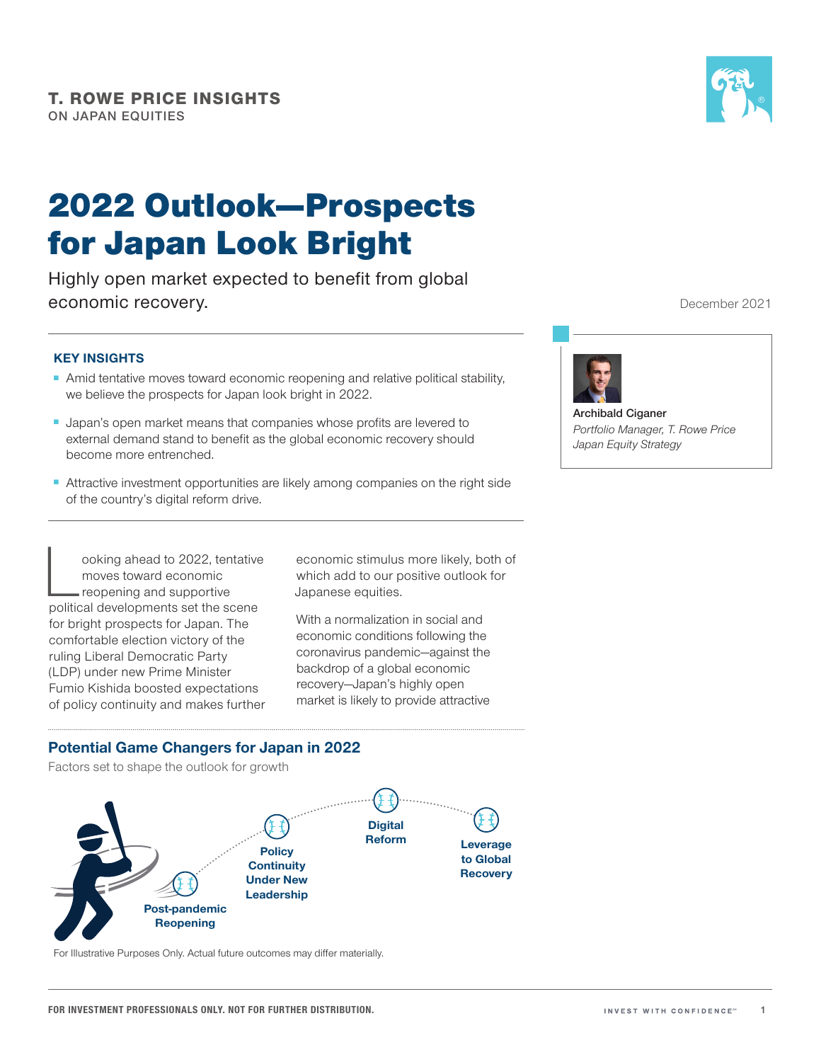# 2022 Outlook—Prospects for Japan Look Bright

Highly open market expected to benefit from global economic recovery.

## **KEY INSIGHTS**

- Amid tentative moves toward economic reopening and relative political stability, we believe the prospects for Japan look bright in 2022.
- Japan's open market means that companies whose profits are levered to external demand stand to benefit as the global economic recovery should become more entrenched.
- Attractive investment opportunities are likely among companies on the right side of the country's digital reform drive.

ooking ahead to 2022, tentative moves toward economic reopening and supportive political developments set the scene for bright prospects for Japan. The comfortable election victory of the ruling Liberal Democratic Party (LDP) under new Prime Minister Fumio Kishida boosted expectations of policy continuity and makes further

economic stimulus more likely, both of which add to our positive outlook for Japanese equities.

With a normalization in social and economic conditions following the coronavirus pandemic—against the backdrop of a global economic recovery—Japan's highly open market is likely to provide attractive

**Potential Game Changers for Japan in 2022**

Factors set to shape the outlook for growth



For Illustrative Purposes Only. Actual future outcomes may differ materially.



December 2021



**Archibald Ciganer** *Portfolio Manager, T. Rowe Price Japan Equity Strategy*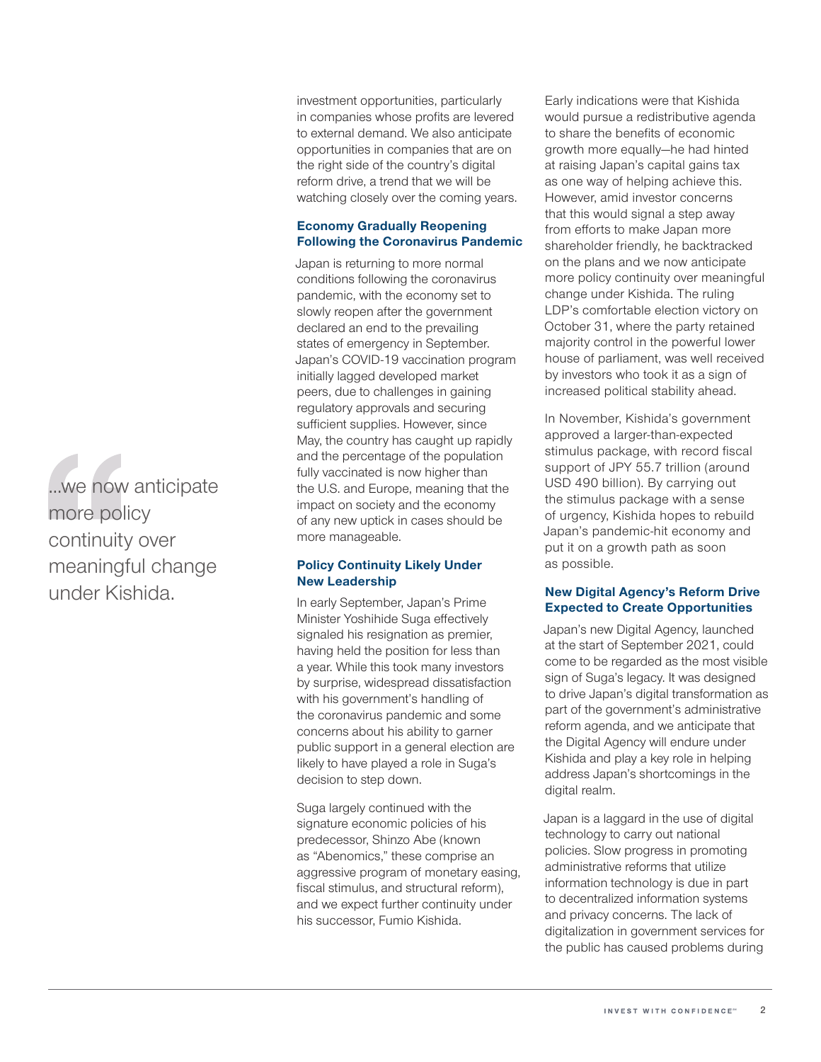...we now anticipate more policy continuity over meaningful change under Kishida.

## investment opportunities, particularly in companies whose profits are levered to external demand. We also anticipate opportunities in companies that are on the right side of the country's digital reform drive, a trend that we will be watching closely over the coming years.

## **Economy Gradually Reopening Following the Coronavirus Pandemic**

Japan is returning to more normal conditions following the coronavirus pandemic, with the economy set to slowly reopen after the government declared an end to the prevailing states of emergency in September. Japan's COVID‑19 vaccination program initially lagged developed market peers, due to challenges in gaining regulatory approvals and securing sufficient supplies. However, since May, the country has caught up rapidly and the percentage of the population fully vaccinated is now higher than the U.S. and Europe, meaning that the impact on society and the economy of any new uptick in cases should be more manageable.

## **Policy Continuity Likely Under New Leadership**

In early September, Japan's Prime Minister Yoshihide Suga effectively signaled his resignation as premier, having held the position for less than a year. While this took many investors by surprise, widespread dissatisfaction with his government's handling of the coronavirus pandemic and some concerns about his ability to garner public support in a general election are likely to have played a role in Suga's decision to step down.

Suga largely continued with the signature economic policies of his predecessor, Shinzo Abe (known as "Abenomics," these comprise an aggressive program of monetary easing, fiscal stimulus, and structural reform), and we expect further continuity under his successor, Fumio Kishida.

Early indications were that Kishida would pursue a redistributive agenda to share the benefits of economic growth more equally—he had hinted at raising Japan's capital gains tax as one way of helping achieve this. However, amid investor concerns that this would signal a step away from efforts to make Japan more shareholder friendly, he backtracked on the plans and we now anticipate more policy continuity over meaningful change under Kishida. The ruling LDP's comfortable election victory on October 31, where the party retained majority control in the powerful lower house of parliament, was well received by investors who took it as a sign of increased political stability ahead.

In November, Kishida's government approved a larger-than-expected stimulus package, with record fiscal support of JPY 55.7 trillion (around USD 490 billion). By carrying out the stimulus package with a sense of urgency, Kishida hopes to rebuild Japan's pandemic‑hit economy and put it on a growth path as soon as possible.

## **New Digital Agency's Reform Drive Expected to Create Opportunities**

Japan's new Digital Agency, launched at the start of September 2021, could come to be regarded as the most visible sign of Suga's legacy. It was designed to drive Japan's digital transformation as part of the government's administrative reform agenda, and we anticipate that the Digital Agency will endure under Kishida and play a key role in helping address Japan's shortcomings in the digital realm.

Japan is a laggard in the use of digital technology to carry out national policies. Slow progress in promoting administrative reforms that utilize information technology is due in part to decentralized information systems and privacy concerns. The lack of digitalization in government services for the public has caused problems during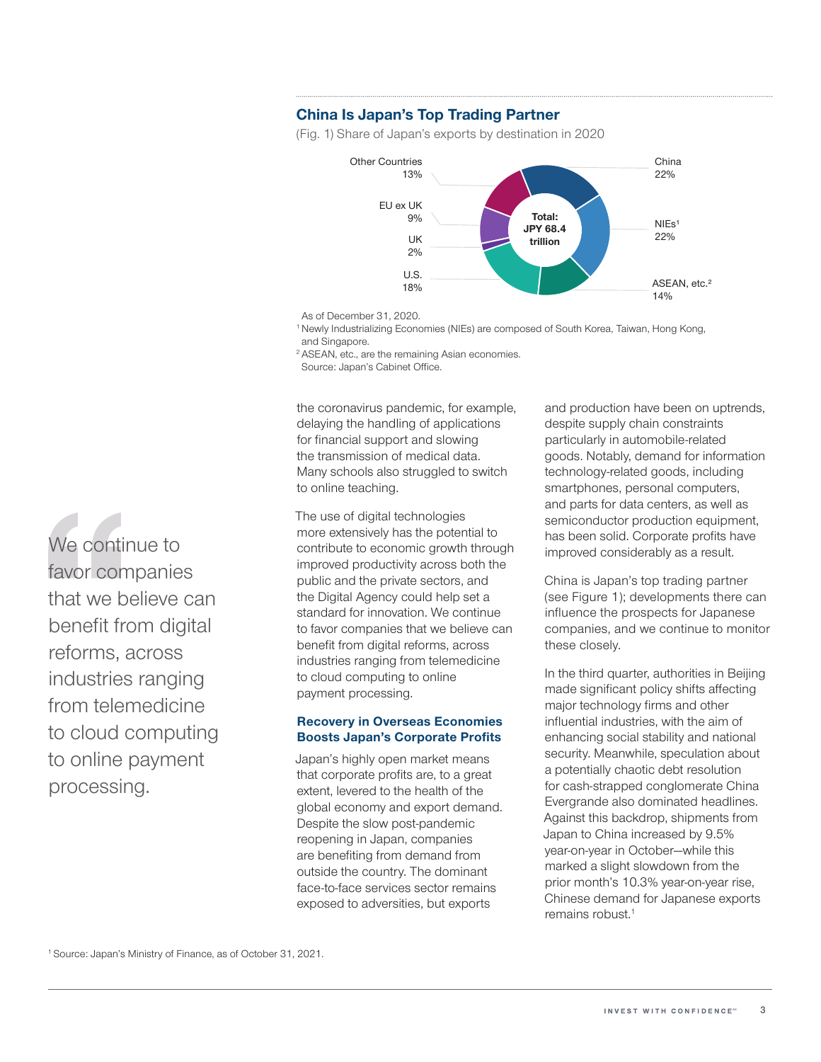## **China Is Japan's Top Trading Partner**

(Fig. 1) Share of Japan's exports by destination in 2020



As of December 31, 2020.

<sup>1</sup> Newly Industrializing Economies (NIEs) are composed of South Korea, Taiwan, Hong Kong, and Singapore.

<sup>2</sup> ASEAN, etc., are the remaining Asian economies.

Source: Japan's Cabinet Office.

the coronavirus pandemic, for example, delaying the handling of applications for financial support and slowing the transmission of medical data. Many schools also struggled to switch to online teaching.

The use of digital technologies more extensively has the potential to contribute to economic growth through improved productivity across both the public and the private sectors, and the Digital Agency could help set a standard for innovation. We continue to favor companies that we believe can benefit from digital reforms, across industries ranging from telemedicine to cloud computing to online payment processing.

#### **Recovery in Overseas Economies Boosts Japan's Corporate Profits**

Japan's highly open market means that corporate profits are, to a great extent, levered to the health of the global economy and export demand. Despite the slow post-pandemic reopening in Japan, companies are benefiting from demand from outside the country. The dominant face-to-face services sector remains exposed to adversities, but exports

and production have been on uptrends, despite supply chain constraints particularly in automobile-related goods. Notably, demand for information technology‑related goods, including smartphones, personal computers, and parts for data centers, as well as semiconductor production equipment, has been solid. Corporate profits have improved considerably as a result.

China is Japan's top trading partner (see Figure 1); developments there can influence the prospects for Japanese companies, and we continue to monitor these closely.

In the third quarter, authorities in Beijing made significant policy shifts affecting major technology firms and other influential industries, with the aim of enhancing social stability and national security. Meanwhile, speculation about a potentially chaotic debt resolution for cash‑strapped conglomerate China Evergrande also dominated headlines. Against this backdrop, shipments from Japan to China increased by 9.5% year-on-year in October-while this marked a slight slowdown from the prior month's 10.3% year-on-year rise, Chinese demand for Japanese exports remains robust.1

We continue to favor companies that we believe can benefit from digital reforms, across industries ranging from telemedicine to cloud computing to online payment processing.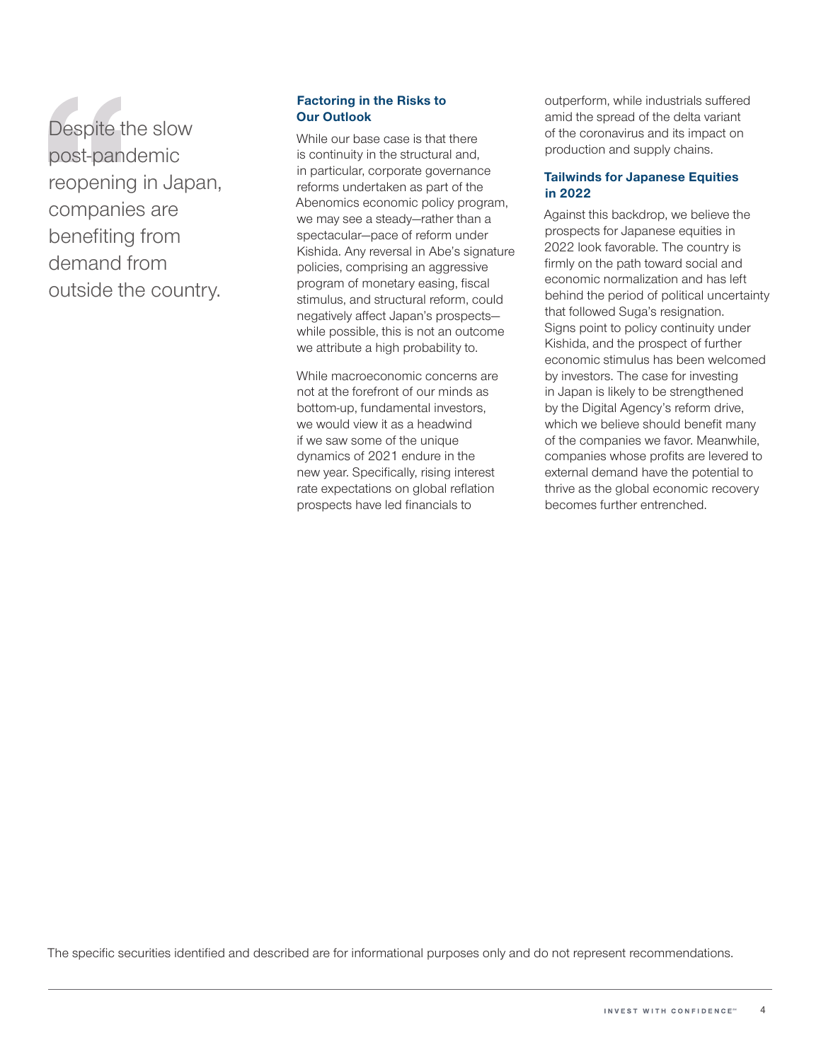Despite the slow post‑pandemic reopening in Japan, companies are benefiting from demand from outside the country.

## **Factoring in the Risks to Our Outlook**

While our base case is that there is continuity in the structural and, in particular, corporate governance reforms undertaken as part of the Abenomics economic policy program, we may see a steady—rather than a spectacular—pace of reform under Kishida. Any reversal in Abe's signature policies, comprising an aggressive program of monetary easing, fiscal stimulus, and structural reform, could negatively affect Japan's prospects while possible, this is not an outcome we attribute a high probability to.

While macroeconomic concerns are not at the forefront of our minds as bottom‑up, fundamental investors, we would view it as a headwind if we saw some of the unique dynamics of 2021 endure in the new year. Specifically, rising interest rate expectations on global reflation prospects have led financials to

outperform, while industrials suffered amid the spread of the delta variant of the coronavirus and its impact on production and supply chains.

## **Tailwinds for Japanese Equities in 2022**

Against this backdrop, we believe the prospects for Japanese equities in 2022 look favorable. The country is firmly on the path toward social and economic normalization and has left behind the period of political uncertainty that followed Suga's resignation. Signs point to policy continuity under Kishida, and the prospect of further economic stimulus has been welcomed by investors. The case for investing in Japan is likely to be strengthened by the Digital Agency's reform drive, which we believe should benefit many of the companies we favor. Meanwhile, companies whose profits are levered to external demand have the potential to thrive as the global economic recovery becomes further entrenched.

The specific securities identified and described are for informational purposes only and do not represent recommendations.